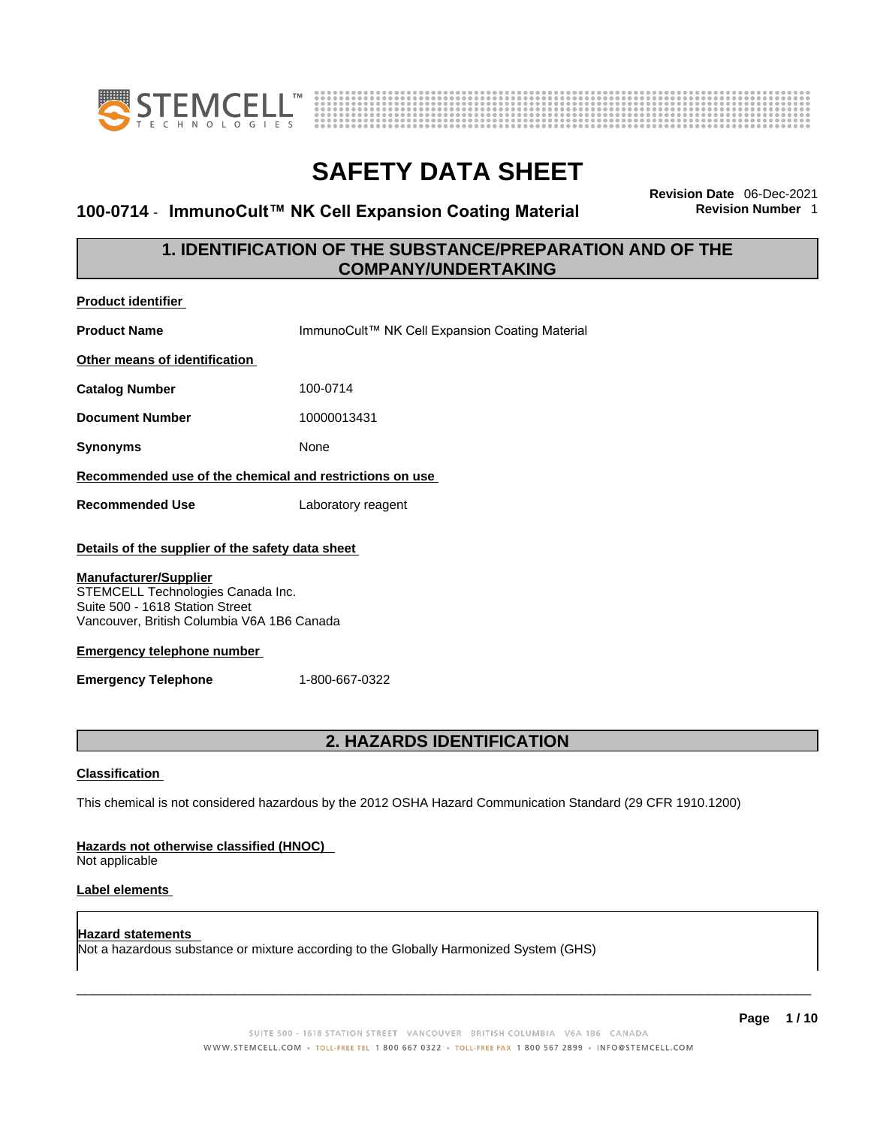



### **100-0714 · ImmunoCult™ NK Cell Expansion Coating Material**

**Revision Date** 06-Dec-2021

### **1. IDENTIFICATION OF THE SUBSTANCE/PREPARATION AND OF THE COMPANY/UNDERTAKING**

| <b>Product identifier</b>                                                                                                                                                                                                                                                 |                                                                                                             |
|---------------------------------------------------------------------------------------------------------------------------------------------------------------------------------------------------------------------------------------------------------------------------|-------------------------------------------------------------------------------------------------------------|
| <b>Product Name</b>                                                                                                                                                                                                                                                       | ImmunoCult™ NK Cell Expansion Coating Material                                                              |
| Other means of identification                                                                                                                                                                                                                                             |                                                                                                             |
| <b>Catalog Number</b>                                                                                                                                                                                                                                                     | 100-0714                                                                                                    |
| <b>Document Number</b>                                                                                                                                                                                                                                                    | 10000013431                                                                                                 |
| <b>Synonyms</b>                                                                                                                                                                                                                                                           | None                                                                                                        |
| Recommended use of the chemical and restrictions on use                                                                                                                                                                                                                   |                                                                                                             |
| <b>Recommended Use</b>                                                                                                                                                                                                                                                    | Laboratory reagent                                                                                          |
| Details of the supplier of the safety data sheet<br><b>Manufacturer/Supplier</b><br>STEMCELL Technologies Canada Inc.<br>Suite 500 - 1618 Station Street<br>Vancouver, British Columbia V6A 1B6 Canada<br><b>Emergency telephone number</b><br><b>Emergency Telephone</b> | 1-800-667-0322                                                                                              |
| <b>Classification</b>                                                                                                                                                                                                                                                     | 2. HAZARDS IDENTIFICATION                                                                                   |
|                                                                                                                                                                                                                                                                           | This chemical is not considered hazardous by the 2012 OSHA Hazard Communication Standard (29 CFR 1910.1200) |

### **Hazards not otherwise classified (HNOC)**

Not applicable

### **Label elements**

**Hazard statements**  Not a hazardous substance or mixture according to the Globally Harmonized System (GHS)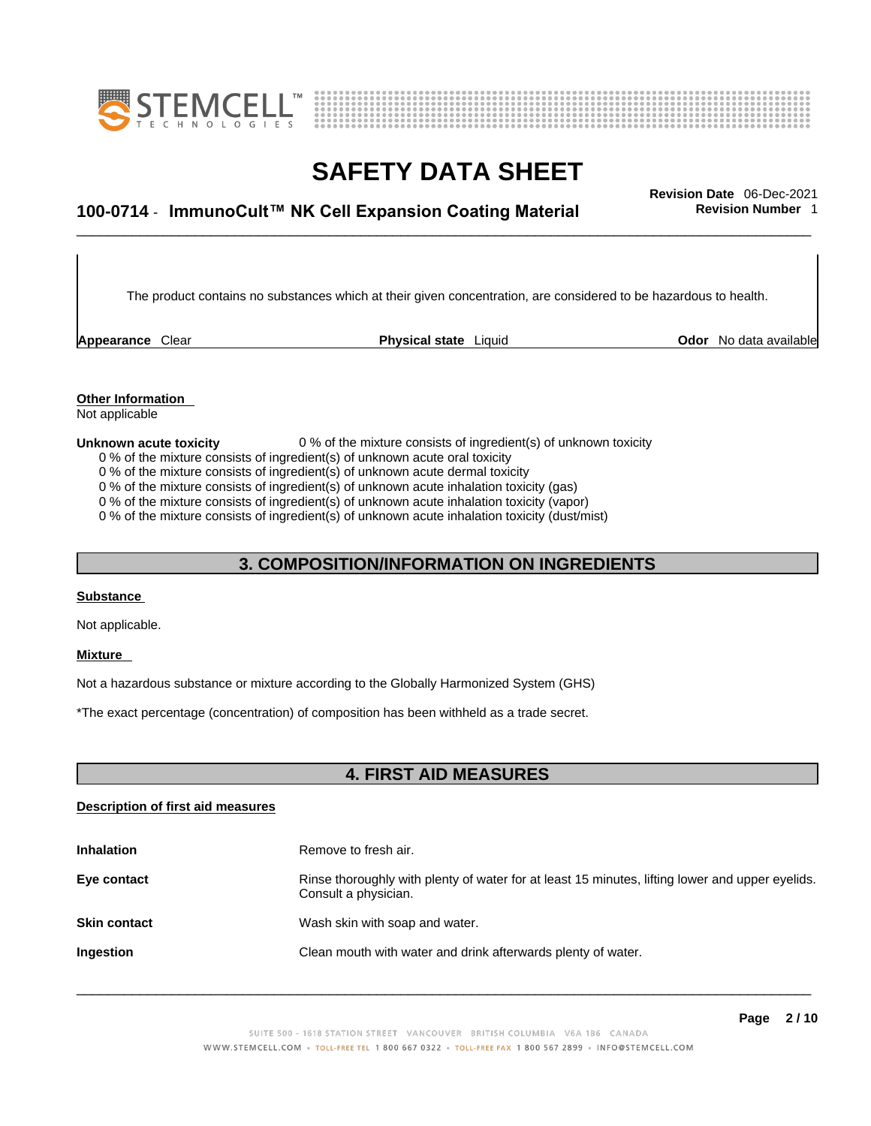



## \_\_\_\_\_\_\_\_\_\_\_\_\_\_\_\_\_\_\_\_\_\_\_\_\_\_\_\_\_\_\_\_\_\_\_\_\_\_\_\_\_\_\_\_\_\_\_\_\_\_\_\_\_\_\_\_\_\_\_\_\_\_\_\_\_\_\_\_\_\_\_\_\_\_\_\_\_\_\_\_\_\_\_\_\_\_\_\_\_\_\_\_\_ **Revision Date** 06-Dec-2021 **100-0714** - **ImmunoCult™ NK Cell Expansion Coating Material Revision Number** 1

The product contains no substances which at their given concentration, are considered to be hazardous to health.

**Appearance** Clear **Physical state** Liquid

**Odor** No data available

**Other Information**  Not applicable

#### **Unknown acute toxicity** 0 % of the mixture consists of ingredient(s) of unknown toxicity

0 % of the mixture consists of ingredient(s) of unknown acute oral toxicity

0 % of the mixture consists of ingredient(s) of unknown acute dermal toxicity

0 % of the mixture consists of ingredient(s) of unknown acute inhalation toxicity (gas)

0 % of the mixture consists of ingredient(s) of unknown acute inhalation toxicity (vapor)

0 % of the mixture consists of ingredient(s) of unknown acute inhalation toxicity (dust/mist)

### **3. COMPOSITION/INFORMATION ON INGREDIENTS**

### **Substance**

Not applicable.

### **Mixture**

Not a hazardous substance or mixture according to the Globally Harmonized System (GHS)

\*The exact percentage (concentration) of composition has been withheld as a trade secret.

### **4. FIRST AID MEASURES**

### **Description of first aid measures**

| <b>Inhalation</b>   | Remove to fresh air.                                                                                                    |
|---------------------|-------------------------------------------------------------------------------------------------------------------------|
| Eye contact         | Rinse thoroughly with plenty of water for at least 15 minutes, lifting lower and upper eyelids.<br>Consult a physician. |
| <b>Skin contact</b> | Wash skin with soap and water.                                                                                          |
| Ingestion           | Clean mouth with water and drink afterwards plenty of water.                                                            |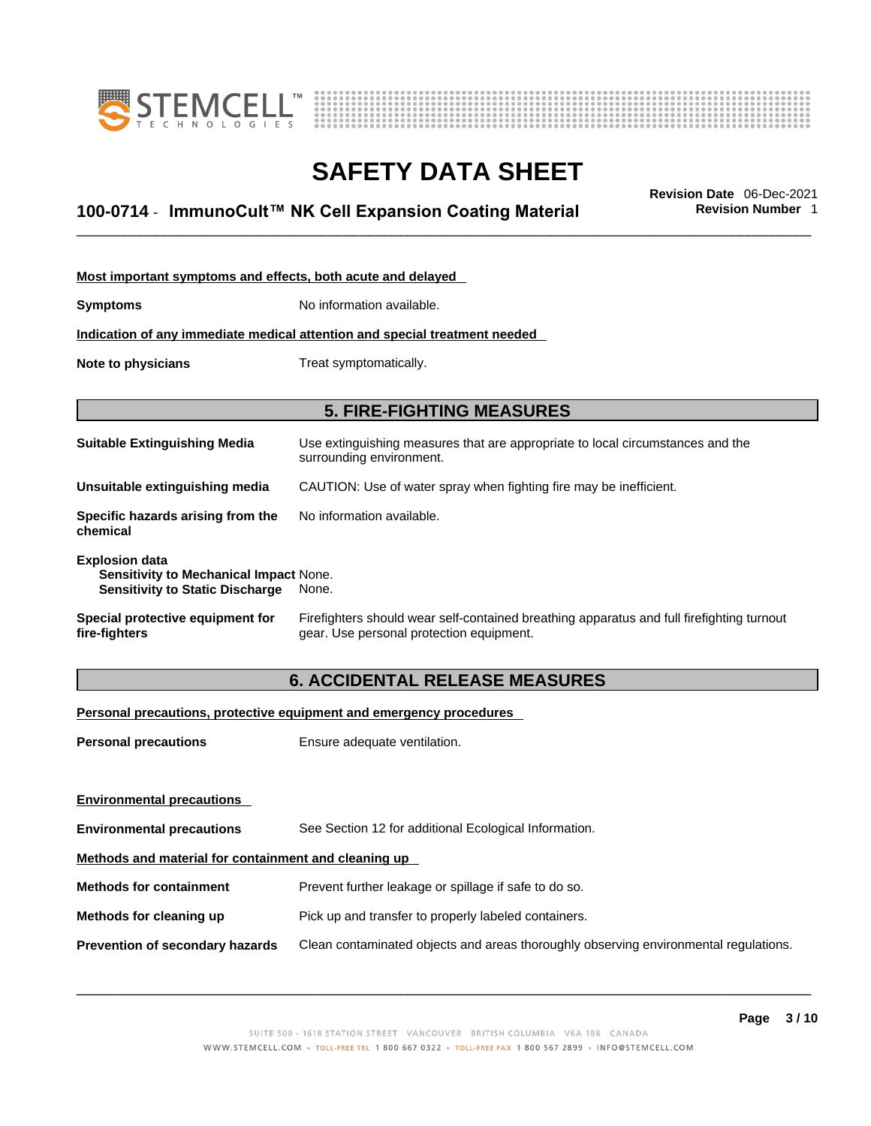



## \_\_\_\_\_\_\_\_\_\_\_\_\_\_\_\_\_\_\_\_\_\_\_\_\_\_\_\_\_\_\_\_\_\_\_\_\_\_\_\_\_\_\_\_\_\_\_\_\_\_\_\_\_\_\_\_\_\_\_\_\_\_\_\_\_\_\_\_\_\_\_\_\_\_\_\_\_\_\_\_\_\_\_\_\_\_\_\_\_\_\_\_\_ **Revision Date** 06-Dec-2021 **100-0714** - **ImmunoCult™ NK Cell Expansion Coating Material Revision Number** 1

| Most important symptoms and effects, both acute and delayed                                                      |                                                                                                                                       |  |  |
|------------------------------------------------------------------------------------------------------------------|---------------------------------------------------------------------------------------------------------------------------------------|--|--|
| <b>Symptoms</b>                                                                                                  | No information available.                                                                                                             |  |  |
| Indication of any immediate medical attention and special treatment needed                                       |                                                                                                                                       |  |  |
| Note to physicians                                                                                               | Treat symptomatically.                                                                                                                |  |  |
|                                                                                                                  |                                                                                                                                       |  |  |
| <b>5. FIRE-FIGHTING MEASURES</b>                                                                                 |                                                                                                                                       |  |  |
| <b>Suitable Extinguishing Media</b>                                                                              | Use extinguishing measures that are appropriate to local circumstances and the<br>surrounding environment.                            |  |  |
| Unsuitable extinguishing media                                                                                   | CAUTION: Use of water spray when fighting fire may be inefficient.                                                                    |  |  |
| Specific hazards arising from the<br>chemical                                                                    | No information available.                                                                                                             |  |  |
| <b>Explosion data</b><br><b>Sensitivity to Mechanical Impact None.</b><br><b>Sensitivity to Static Discharge</b> | None.                                                                                                                                 |  |  |
| Special protective equipment for<br>fire-fighters                                                                | Firefighters should wear self-contained breathing apparatus and full firefighting turnout<br>gear. Use personal protection equipment. |  |  |

### **6. ACCIDENTAL RELEASE MEASURES**

### **Personal precautions, protective equipment and emergency procedures**

| <b>Personal precautions</b>                          | Ensure adequate ventilation.                                                         |  |
|------------------------------------------------------|--------------------------------------------------------------------------------------|--|
|                                                      |                                                                                      |  |
| <b>Environmental precautions</b>                     |                                                                                      |  |
| <b>Environmental precautions</b>                     | See Section 12 for additional Ecological Information.                                |  |
| Methods and material for containment and cleaning up |                                                                                      |  |
| <b>Methods for containment</b>                       | Prevent further leakage or spillage if safe to do so.                                |  |
| Methods for cleaning up                              | Pick up and transfer to properly labeled containers.                                 |  |
| Prevention of secondary hazards                      | Clean contaminated objects and areas thoroughly observing environmental regulations. |  |
|                                                      |                                                                                      |  |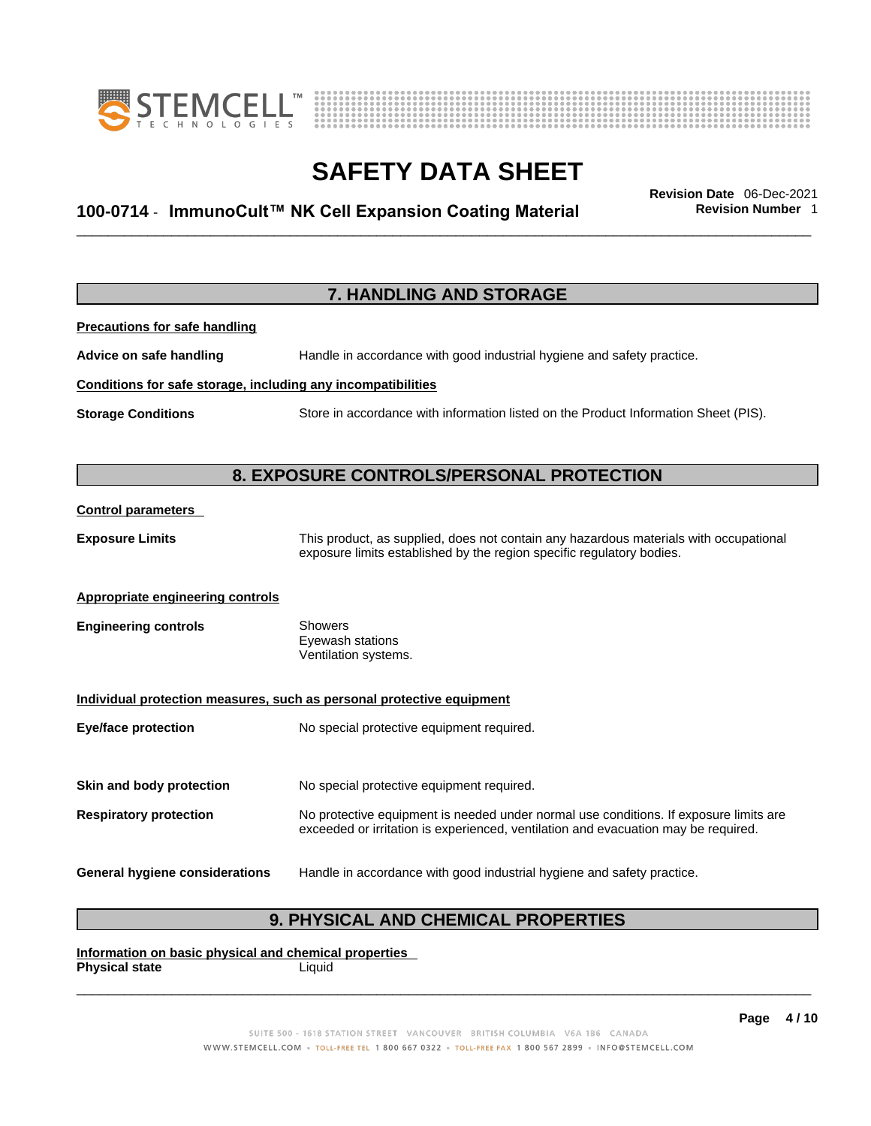



## \_\_\_\_\_\_\_\_\_\_\_\_\_\_\_\_\_\_\_\_\_\_\_\_\_\_\_\_\_\_\_\_\_\_\_\_\_\_\_\_\_\_\_\_\_\_\_\_\_\_\_\_\_\_\_\_\_\_\_\_\_\_\_\_\_\_\_\_\_\_\_\_\_\_\_\_\_\_\_\_\_\_\_\_\_\_\_\_\_\_\_\_\_ **Revision Date** 06-Dec-2021 **100-0714** - **ImmunoCult™ NK Cell Expansion Coating Material Revision Number** 1

| 7. HANDLING AND STORAGE                                      |                                                                                                                                                                |  |
|--------------------------------------------------------------|----------------------------------------------------------------------------------------------------------------------------------------------------------------|--|
| <b>Precautions for safe handling</b>                         |                                                                                                                                                                |  |
| Advice on safe handling                                      | Handle in accordance with good industrial hygiene and safety practice.                                                                                         |  |
| Conditions for safe storage, including any incompatibilities |                                                                                                                                                                |  |
| <b>Storage Conditions</b>                                    | Store in accordance with information listed on the Product Information Sheet (PIS).                                                                            |  |
|                                                              |                                                                                                                                                                |  |
|                                                              | 8. EXPOSURE CONTROLS/PERSONAL PROTECTION                                                                                                                       |  |
| <b>Control parameters</b>                                    |                                                                                                                                                                |  |
| <b>Exposure Limits</b>                                       | This product, as supplied, does not contain any hazardous materials with occupational<br>exposure limits established by the region specific regulatory bodies. |  |
|                                                              |                                                                                                                                                                |  |
| Appropriate engineering controls                             |                                                                                                                                                                |  |
| <b>Engineering controls</b>                                  | <b>Showers</b><br>Eyewash stations                                                                                                                             |  |
|                                                              | Ventilation systems.                                                                                                                                           |  |
|                                                              | Individual protection measures, such as personal protective equipment                                                                                          |  |
| <b>Eye/face protection</b>                                   | No special protective equipment required.                                                                                                                      |  |
|                                                              |                                                                                                                                                                |  |
| Skin and body protection                                     | No special protective equipment required.                                                                                                                      |  |
| <b>Respiratory protection</b>                                | No protective equipment is needed under normal use conditions. If exposure limits are                                                                          |  |
|                                                              | exceeded or irritation is experienced, ventilation and evacuation may be required.                                                                             |  |
| <b>General hygiene considerations</b>                        | Handle in accordance with good industrial hygiene and safety practice.                                                                                         |  |

### **9. PHYSICAL AND CHEMICAL PROPERTIES**

**Information on basic physical and chemical properties Physical state** Liquid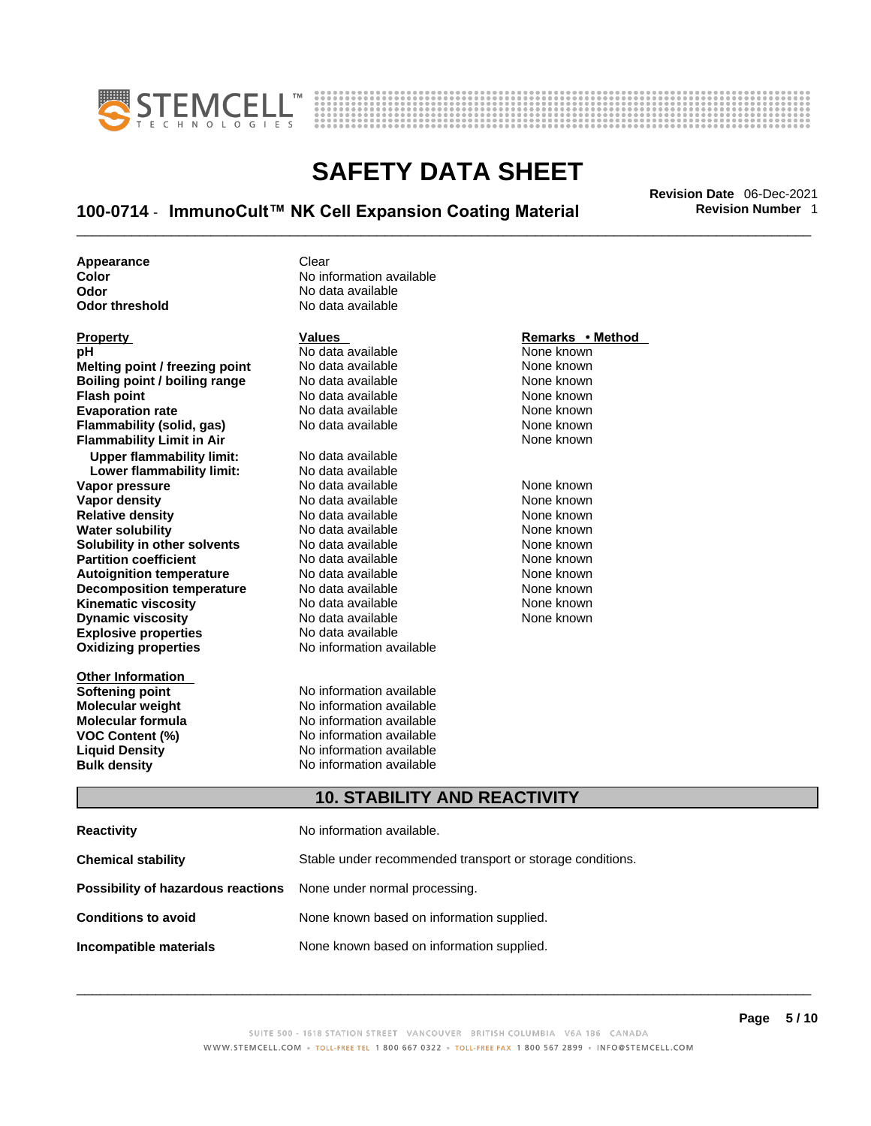



## \_\_\_\_\_\_\_\_\_\_\_\_\_\_\_\_\_\_\_\_\_\_\_\_\_\_\_\_\_\_\_\_\_\_\_\_\_\_\_\_\_\_\_\_\_\_\_\_\_\_\_\_\_\_\_\_\_\_\_\_\_\_\_\_\_\_\_\_\_\_\_\_\_\_\_\_\_\_\_\_\_\_\_\_\_\_\_\_\_\_\_\_\_ **Revision Date** 06-Dec-2021 **100-0714** - **ImmunoCult™ NK Cell Expansion Coating Material Revision Number** 1

**Appearance Clear** 

**Explosive properties**<br> **Oxidizing properties**<br> **Oxidizing properties**<br> **No information available Oxidizing properties Property Remarks • Remarks • Remarks • Remarks • Remarks • Remarks • Remarks • Method pH**<br> **No data available** Mome known<br> **No data available** Mome known<br>
None known **Melting point / freezing point** No data available<br> **Boiling point / boiling range** No data available **Boiling point / boiling range** No data available **None known**<br>
No data available **None known**<br>
None known **Evaporation rate Cone Cone Access Mone Cone Cone Cone Access Provident Cone Cone Access Provident Cone known**<br> **Flammability (solid. gas)** No data available Cone Cone Known **Flammability (solid, gas)** No data available None known **Flammability Limit in Air None known None known Upper flammability limit:** No data available **Lower flammability limit:** No data available **Vapor pressure** 1980 in the Modata available 1980 in the known None known<br> **Vapor density** 1980 in the None Known None known None known **Vapor density** No data available None known **Relative density Water solubility** No data available None known **Solubility in other solvents** No data available None known **Partition coefficient**<br> **Autoignition temperature**<br>
No data available None Known<br>
None known **Autoignition temperature** Mo data available Mone known<br> **Decomposition temperature** No data available None known **Decomposition temperature** No data available<br> **Kinematic viscosity** No data available **Kinematic viscosity No data available None known**<br> **Discussible No data available None known**<br>
None known **Dynamic viscosity No data available None known** 

**Other Information** 

**Color Color Color Color Color Color Color Color Color Color Color Color Color Color Color Color Color Color Color Color Color Color Color Color Color Color Color Color Odor No data available**<br> **Odor threshold No data available** No data available

**No data available** 

**Softening point**<br> **Molecular weight**<br> **Molecular weight**<br> **Molecular weight**<br> **Molecular weight No information available Molecular formula** No information available **VOC Content (%)**<br> **Content (%)**<br>
No information available<br>
No information available **No information available Bulk density No information available** 

### **10. STABILITY AND REACTIVITY**

| Reactivity                                                              | No information available.                                 |
|-------------------------------------------------------------------------|-----------------------------------------------------------|
| Chemical stability                                                      | Stable under recommended transport or storage conditions. |
| <b>Possibility of hazardous reactions</b> None under normal processing. |                                                           |
| <b>Conditions to avoid</b>                                              | None known based on information supplied.                 |
| Incompatible materials                                                  | None known based on information supplied.                 |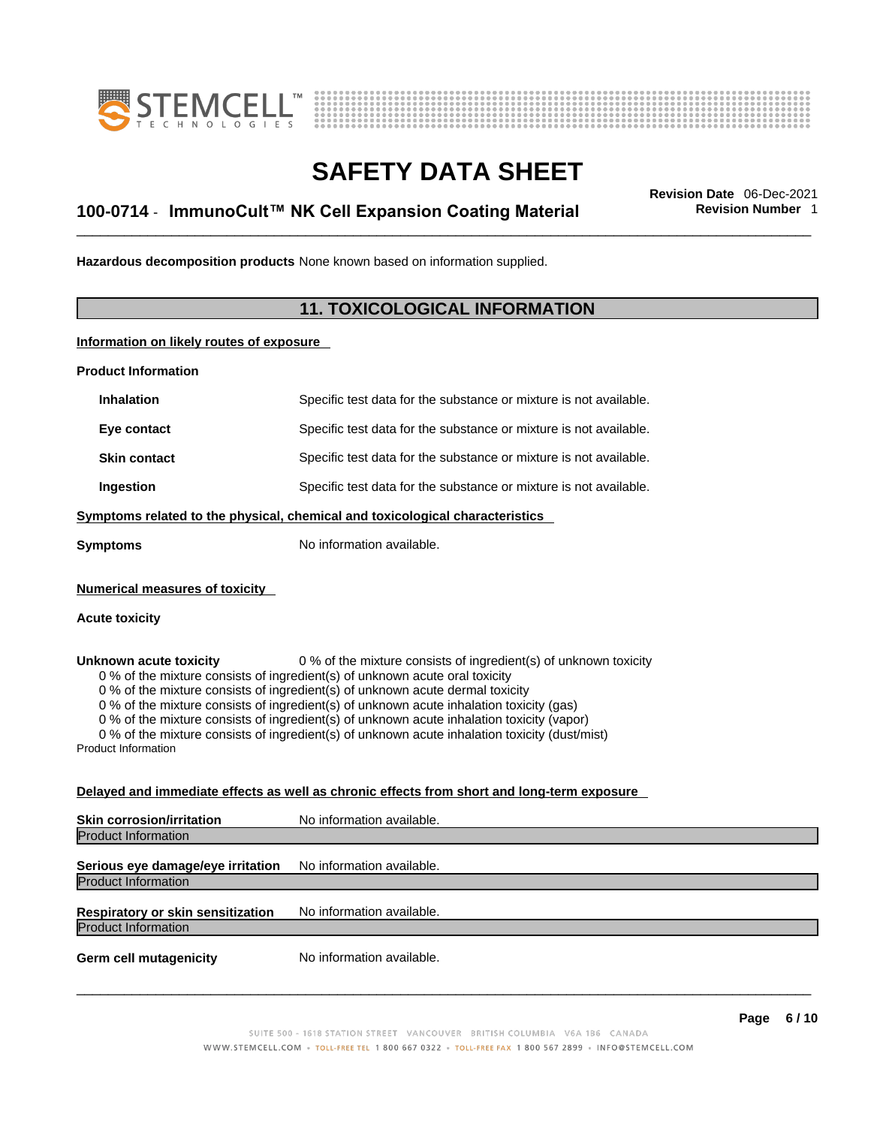



## \_\_\_\_\_\_\_\_\_\_\_\_\_\_\_\_\_\_\_\_\_\_\_\_\_\_\_\_\_\_\_\_\_\_\_\_\_\_\_\_\_\_\_\_\_\_\_\_\_\_\_\_\_\_\_\_\_\_\_\_\_\_\_\_\_\_\_\_\_\_\_\_\_\_\_\_\_\_\_\_\_\_\_\_\_\_\_\_\_\_\_\_\_ **Revision Date** 06-Dec-2021 **100-0714** - **ImmunoCult™ NK Cell Expansion Coating Material Revision Number** 1

**Hazardous decomposition products** None known based on information supplied.

### **11. TOXICOLOGICAL INFORMATION**

**Information on likely routes of exposure**

**Product Information**

| <b>Inhalation</b>                                              | Specific test data for the substance or mixture is not available.                                                                                                                                                                           |
|----------------------------------------------------------------|---------------------------------------------------------------------------------------------------------------------------------------------------------------------------------------------------------------------------------------------|
| Eye contact                                                    | Specific test data for the substance or mixture is not available.                                                                                                                                                                           |
| <b>Skin contact</b>                                            | Specific test data for the substance or mixture is not available.                                                                                                                                                                           |
| Ingestion                                                      | Specific test data for the substance or mixture is not available.                                                                                                                                                                           |
|                                                                | Symptoms related to the physical, chemical and toxicological characteristics                                                                                                                                                                |
| Svmptoms                                                       | No information available.                                                                                                                                                                                                                   |
| <b>Numerical measures of toxicity</b><br><b>Acute toxicity</b> |                                                                                                                                                                                                                                             |
| Unknown acute toxicity                                         | 0 % of the mixture consists of ingredient(s) of unknown toxicity<br>0 % of the mixture consists of ingredient(s) of unknown acute oral toxicity<br>$0.0$ at the minimum experience of in gradiant(a) of unlinearing equipment and texterior |

0 % of the mixture consists of ingredient(s) of unknown acute dermal toxicity

0 % of the mixture consists of ingredient(s) of unknown acute inhalation toxicity (gas)

0 % of the mixture consists of ingredient(s) of unknown acute inhalation toxicity (vapor)

0 % of the mixture consists of ingredient(s) of unknown acute inhalation toxicity (dust/mist)

Product Information

### **Delayed and immediate effects as well as chronic effects from short and long-term exposure**

| <b>Skin corrosion/irritation</b>                                | No information available. |
|-----------------------------------------------------------------|---------------------------|
| <b>Product Information</b>                                      |                           |
| Serious eye damage/eye irritation<br><b>Product Information</b> | No information available. |
|                                                                 |                           |
| Respiratory or skin sensitization                               | No information available. |
| <b>Product Information</b>                                      |                           |
| <b>Germ cell mutagenicity</b>                                   | No information available. |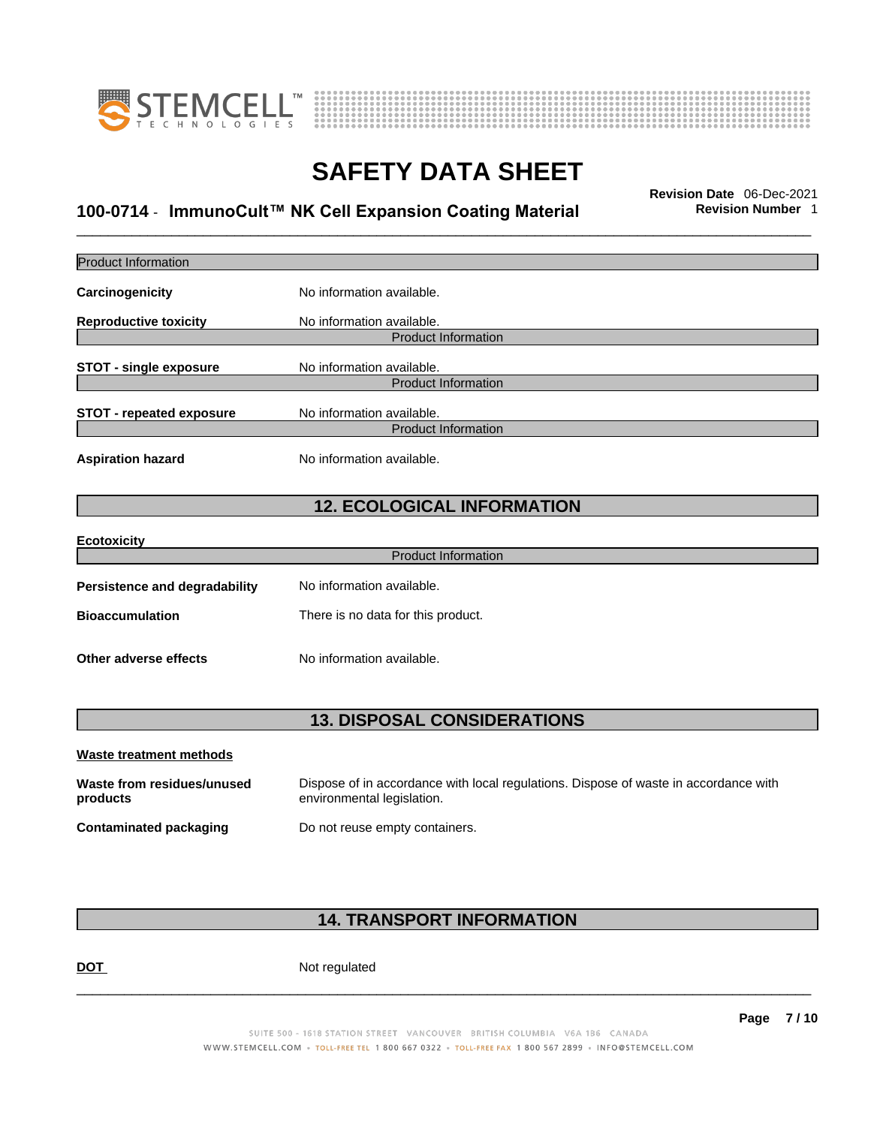



## \_\_\_\_\_\_\_\_\_\_\_\_\_\_\_\_\_\_\_\_\_\_\_\_\_\_\_\_\_\_\_\_\_\_\_\_\_\_\_\_\_\_\_\_\_\_\_\_\_\_\_\_\_\_\_\_\_\_\_\_\_\_\_\_\_\_\_\_\_\_\_\_\_\_\_\_\_\_\_\_\_\_\_\_\_\_\_\_\_\_\_\_\_ **Revision Date** 06-Dec-2021 **100-0714** - **ImmunoCult™ NK Cell Expansion Coating Material Revision Number** 1

| <b>Product Information</b>             |                                                                                                                    |
|----------------------------------------|--------------------------------------------------------------------------------------------------------------------|
| Carcinogenicity                        | No information available.                                                                                          |
| <b>Reproductive toxicity</b>           | No information available.                                                                                          |
|                                        | <b>Product Information</b>                                                                                         |
| <b>STOT - single exposure</b>          | No information available.                                                                                          |
|                                        | <b>Product Information</b>                                                                                         |
| <b>STOT - repeated exposure</b>        | No information available.                                                                                          |
|                                        | <b>Product Information</b>                                                                                         |
| <b>Aspiration hazard</b>               | No information available.                                                                                          |
|                                        | <b>12. ECOLOGICAL INFORMATION</b>                                                                                  |
| <b>Ecotoxicity</b>                     |                                                                                                                    |
|                                        | <b>Product Information</b>                                                                                         |
| <b>Persistence and degradability</b>   | No information available.                                                                                          |
| <b>Bioaccumulation</b>                 | There is no data for this product.                                                                                 |
| Other adverse effects                  | No information available.                                                                                          |
|                                        | <b>13. DISPOSAL CONSIDERATIONS</b>                                                                                 |
| Waste treatment methods                |                                                                                                                    |
| Waste from residues/unused<br>products | Dispose of in accordance with local regulations. Dispose of waste in accordance with<br>environmental legislation. |
| <b>Contaminated packaging</b>          | Do not reuse empty containers.                                                                                     |
|                                        |                                                                                                                    |
|                                        |                                                                                                                    |

### **14. TRANSPORT INFORMATION**

DOT Not regulated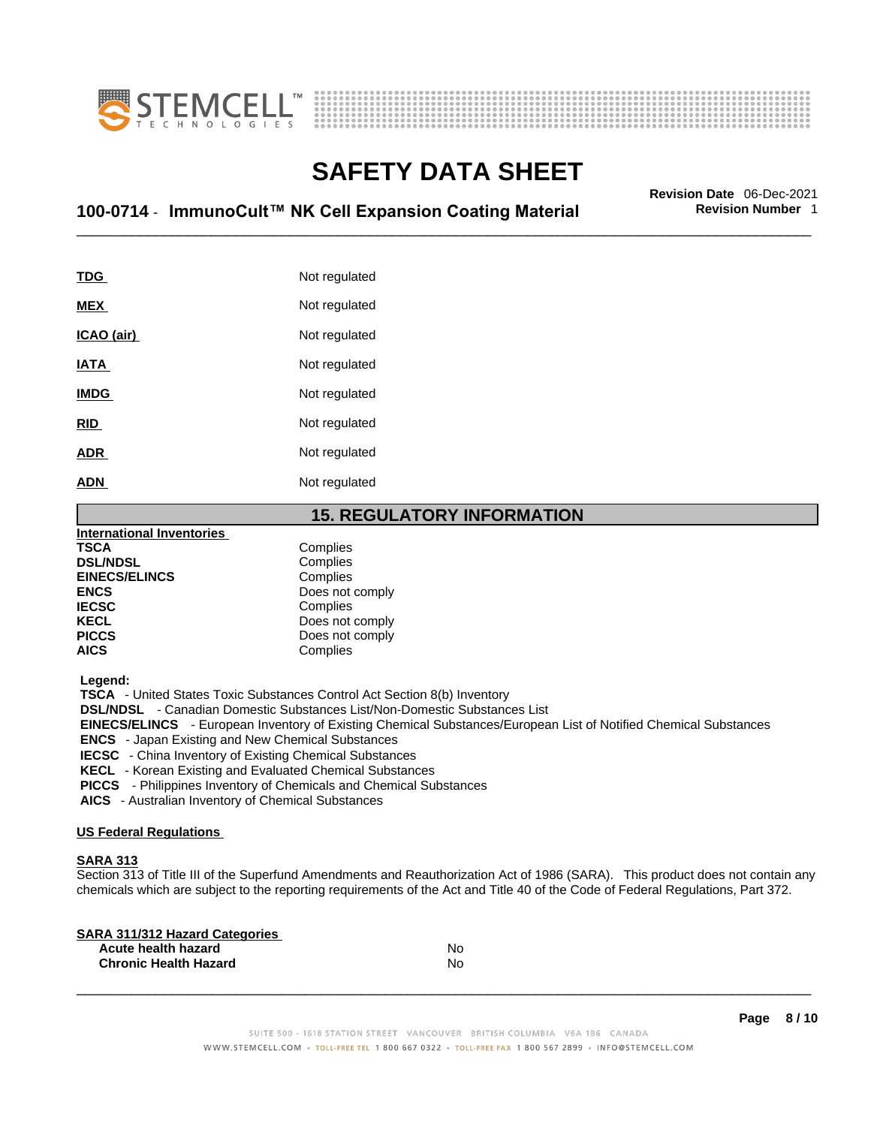



## \_\_\_\_\_\_\_\_\_\_\_\_\_\_\_\_\_\_\_\_\_\_\_\_\_\_\_\_\_\_\_\_\_\_\_\_\_\_\_\_\_\_\_\_\_\_\_\_\_\_\_\_\_\_\_\_\_\_\_\_\_\_\_\_\_\_\_\_\_\_\_\_\_\_\_\_\_\_\_\_\_\_\_\_\_\_\_\_\_\_\_\_\_ **Revision Date** 06-Dec-2021 **100-0714** - **ImmunoCult™ NK Cell Expansion Coating Material Revision Number** 1

| TDG         | Not regulated |
|-------------|---------------|
| MEX         | Not regulated |
| ICAO (air)  | Not regulated |
| IATA        | Not regulated |
| <b>IMDG</b> | Not regulated |
| <b>RID</b>  | Not regulated |
| <b>ADR</b>  | Not regulated |
| <b>ADN</b>  | Not regulated |
|             |               |

### **15. REGULATORY INFORMATION**

| <b>International Inventories</b> |                 |
|----------------------------------|-----------------|
| <b>TSCA</b>                      | Complies        |
| <b>DSL/NDSL</b>                  | Complies        |
| <b>EINECS/ELINCS</b>             | Complies        |
| <b>ENCS</b>                      | Does not comply |
| <b>IECSC</b>                     | Complies        |
| <b>KECL</b>                      | Does not comply |
| <b>PICCS</b>                     | Does not comply |
| <b>AICS</b>                      | Complies        |
|                                  |                 |

 **Legend:** 

 **TSCA** - United States Toxic Substances Control Act Section 8(b) Inventory

 **DSL/NDSL** - Canadian Domestic Substances List/Non-Domestic Substances List

 **EINECS/ELINCS** - European Inventory of Existing Chemical Substances/European List of Notified Chemical Substances

 **ENCS** - Japan Existing and New Chemical Substances

 **IECSC** - China Inventory of Existing Chemical Substances

 **KECL** - Korean Existing and Evaluated Chemical Substances

 **PICCS** - Philippines Inventory of Chemicals and Chemical Substances

 **AICS** - Australian Inventory of Chemical Substances

### **US Federal Regulations**

### **SARA 313**

Section 313 of Title III of the Superfund Amendments and Reauthorization Act of 1986 (SARA). This product does not contain any chemicals which are subject to the reporting requirements of the Act and Title 40 of the Code of Federal Regulations, Part 372.

| No |  |
|----|--|
| No |  |
|    |  |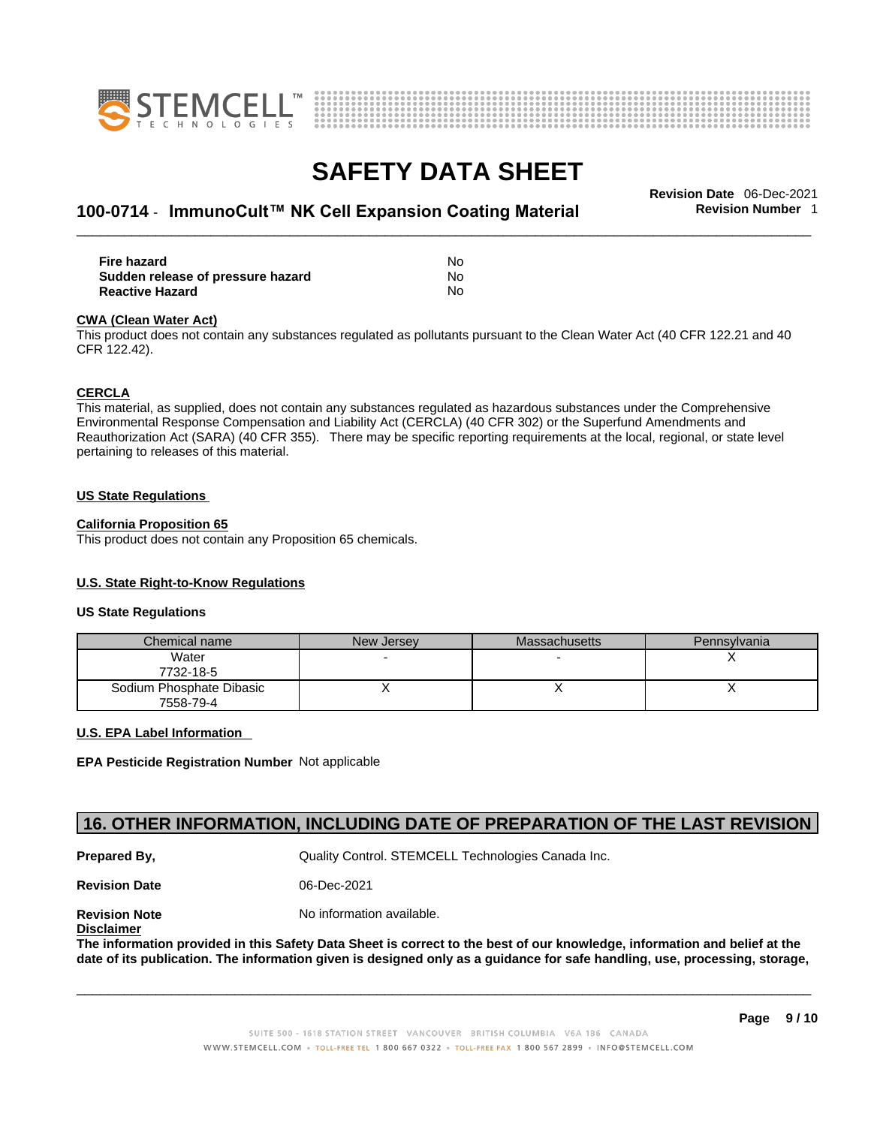



## \_\_\_\_\_\_\_\_\_\_\_\_\_\_\_\_\_\_\_\_\_\_\_\_\_\_\_\_\_\_\_\_\_\_\_\_\_\_\_\_\_\_\_\_\_\_\_\_\_\_\_\_\_\_\_\_\_\_\_\_\_\_\_\_\_\_\_\_\_\_\_\_\_\_\_\_\_\_\_\_\_\_\_\_\_\_\_\_\_\_\_\_\_ **Revision Date** 06-Dec-2021 **100-0714** - **ImmunoCult™ NK Cell Expansion Coating Material Revision Number** 1

| Fire hazard                       | No  |
|-----------------------------------|-----|
| Sudden release of pressure hazard | No. |
| <b>Reactive Hazard</b>            | No  |

#### **CWA** (Clean Water Act)

This product does not contain any substances regulated as pollutants pursuant to the Clean Water Act (40 CFR 122.21 and 40 CFR 122.42).

#### **CERCLA**

This material, as supplied, does not contain any substances regulated as hazardous substances under the Comprehensive Environmental Response Compensation and Liability Act (CERCLA) (40 CFR 302) or the Superfund Amendments and Reauthorization Act (SARA) (40 CFR 355). There may be specific reporting requirements at the local, regional, or state level pertaining to releases of this material.

#### **US State Regulations**

#### **California Proposition 65**

This product does not contain any Proposition 65 chemicals.

### **U.S. State Right-to-Know Regulations**

#### **US State Regulations**

| Chemical name                         | New Jersey | <b>Massachusetts</b> | Pennsylvania |
|---------------------------------------|------------|----------------------|--------------|
| Water<br>7732-18-5                    |            |                      |              |
| Sodium Phosphate Dibasic<br>7558-79-4 |            |                      |              |

### **U.S. EPA Label Information**

**EPA Pesticide Registration Number** Not applicable

### **16. OTHER INFORMATION, INCLUDING DATE OF PREPARATION OF THE LAST REVISION**

**Prepared By, State Control. STEMCELL Technologies Canada Inc.** Cuality Control. STEMCELL Technologies Canada Inc.

**Revision Date** 06-Dec-2021

**Disclaimer**

**Revision Note** Noinformation available.

The information provided in this Safety Data Sheet is correct to the best of our knowledge, information and belief at the date of its publication. The information given is designed only as a guidance for safe handling, use, processing, storage,